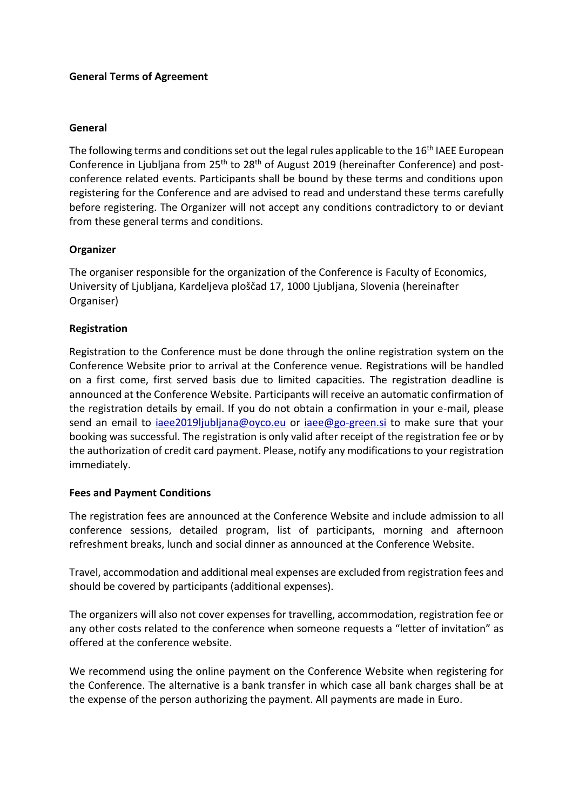## **General Terms of Agreement**

#### **General**

The following terms and conditions set out the legal rules applicable to the 16<sup>th</sup> IAEE European Conference in Liubliana from 25<sup>th</sup> to 28<sup>th</sup> of August 2019 (hereinafter Conference) and postconference related events. Participants shall be bound by these terms and conditions upon registering for the Conference and are advised to read and understand these terms carefully before registering. The Organizer will not accept any conditions contradictory to or deviant from these general terms and conditions.

## **Organizer**

The organiser responsible for the organization of the Conference is Faculty of Economics, University of Ljubljana, Kardeljeva ploščad 17, 1000 Ljubljana, Slovenia (hereinafter Organiser)

## **Registration**

Registration to the Conference must be done through the online registration system on the Conference Website prior to arrival at the Conference venue. Registrations will be handled on a first come, first served basis due to limited capacities. The registration deadline is announced at the Conference Website. Participants will receive an automatic confirmation of the registration details by email. If you do not obtain a confirmation in your e-mail, please send an email to [iaee2019ljubljana@oyco.eu](mailto:iaee2019ljubljana@oyco.eu) or [iaee@go-green.si](mailto:iaee@go-green.si) to make sure that your booking was successful. The registration is only valid after receipt of the registration fee or by the authorization of credit card payment. Please, notify any modifications to your registration immediately.

#### **Fees and Payment Conditions**

The registration fees are announced at the Conference Website and include admission to all conference sessions, detailed program, list of participants, morning and afternoon refreshment breaks, lunch and social dinner as announced at the Conference Website.

Travel, accommodation and additional meal expenses are excluded from registration fees and should be covered by participants (additional expenses).

The organizers will also not cover expenses for travelling, accommodation, registration fee or any other costs related to the conference when someone requests a "letter of invitation" as offered at the conference website.

We recommend using the online payment on the Conference Website when registering for the Conference. The alternative is a bank transfer in which case all bank charges shall be at the expense of the person authorizing the payment. All payments are made in Euro.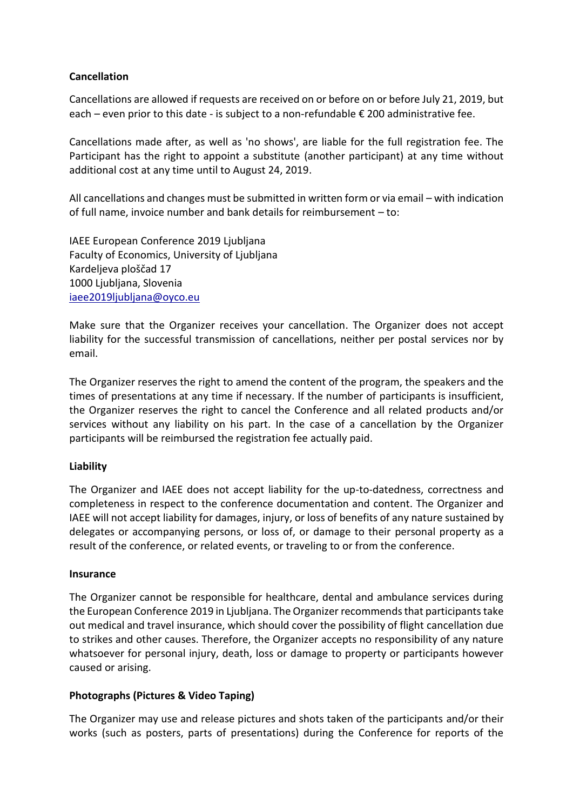## **Cancellation**

Cancellations are allowed if requests are received on or before on or before July 21, 2019, but each – even prior to this date - is subject to a non-refundable € 200 administrative fee.

Cancellations made after, as well as 'no shows', are liable for the full registration fee. The Participant has the right to appoint a substitute (another participant) at any time without additional cost at any time until to August 24, 2019.

All cancellations and changes must be submitted in written form or via email – with indication of full name, invoice number and bank details for reimbursement – to:

IAEE European Conference 2019 Ljubljana Faculty of Economics, University of Ljubljana Kardeljeva ploščad 17 1000 Ljubljana, Slovenia [iaee2019ljubljana@oyco.eu](mailto:iaee2019ljubljana@oyco.eu)

Make sure that the Organizer receives your cancellation. The Organizer does not accept liability for the successful transmission of cancellations, neither per postal services nor by email.

The Organizer reserves the right to amend the content of the program, the speakers and the times of presentations at any time if necessary. If the number of participants is insufficient, the Organizer reserves the right to cancel the Conference and all related products and/or services without any liability on his part. In the case of a cancellation by the Organizer participants will be reimbursed the registration fee actually paid.

#### **Liability**

The Organizer and IAEE does not accept liability for the up-to-datedness, correctness and completeness in respect to the conference documentation and content. The Organizer and IAEE will not accept liability for damages, injury, or loss of benefits of any nature sustained by delegates or accompanying persons, or loss of, or damage to their personal property as a result of the conference, or related events, or traveling to or from the conference.

#### **Insurance**

The Organizer cannot be responsible for healthcare, dental and ambulance services during the European Conference 2019 in Ljubljana. The Organizer recommends that participantstake out medical and travel insurance, which should cover the possibility of flight cancellation due to strikes and other causes. Therefore, the Organizer accepts no responsibility of any nature whatsoever for personal injury, death, loss or damage to property or participants however caused or arising.

#### **Photographs (Pictures & Video Taping)**

The Organizer may use and release pictures and shots taken of the participants and/or their works (such as posters, parts of presentations) during the Conference for reports of the